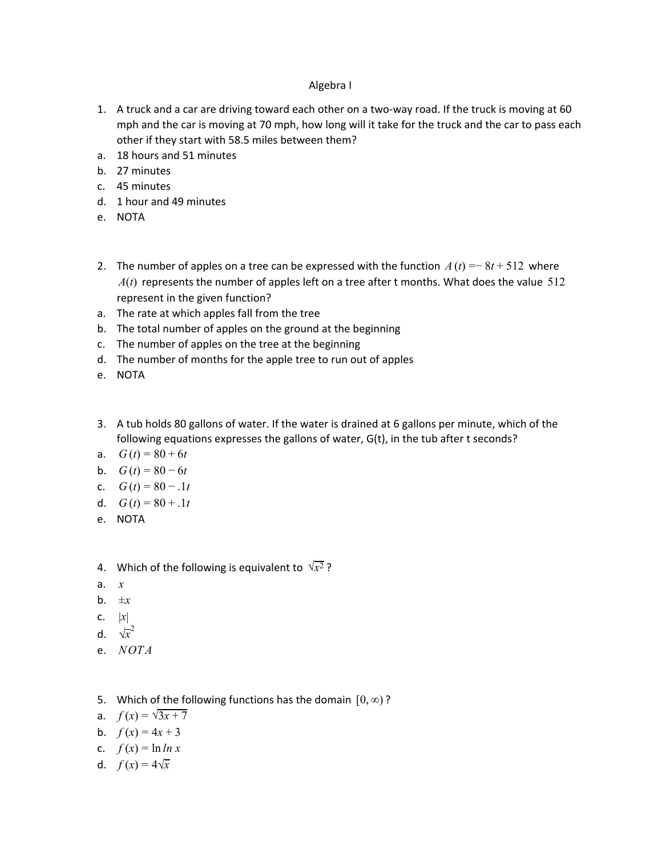## Algebra I

- 1. A truck and a car are driving toward each other on a two-way road. If the truck is moving at 60 mph and the car is moving at 70 mph, how long will it take for the truck and the car to pass each other if they start with 58.5 miles between them?
- a. 18 hours and 51 minutes
- b. 27 minutes
- c. 45 minutes
- d. 1 hour and 49 minutes
- e. NOTA
- 2. The number of apples on a tree can be expressed with the function  $A(t) = 8t + 512$  where  $A(t)$  represents the number of apples left on a tree after t months. What does the value 512 represent in the given function?
- a. The rate at which apples fall from the tree
- b. The total number of apples on the ground at the beginning
- c. The number of apples on the tree at the beginning
- d. The number of months for the apple tree to run out of apples
- e. NOTA
- 3. A tub holds 80 gallons of water. If the water is drained at 6 gallons per minute, which of the following equations expresses the gallons of water, G(t), in the tub after t seconds?
- a.  $G(t) = 80 + 6t$
- b.  $G(t) = 80 6t$
- c.  $G(t) = 80 1t$
- d.  $G(t) = 80 + .1t$
- e. NOTA
- 4. Which of the following is equivalent to  $\sqrt{x^2}$ ?
- a. *x*
- b. ±*x*
- c.  $|x|$
- d.  $\sqrt{x}^2$
- e. *NOTA*
- 5. Which of the following functions has the domain  $[0, \infty)$ ?
- a.  $f(x) = \sqrt{3x + 7}$
- b.  $f(x) = 4x + 3$
- c.  $f(x) = \ln \ln x$
- d.  $f(x) = 4\sqrt{x}$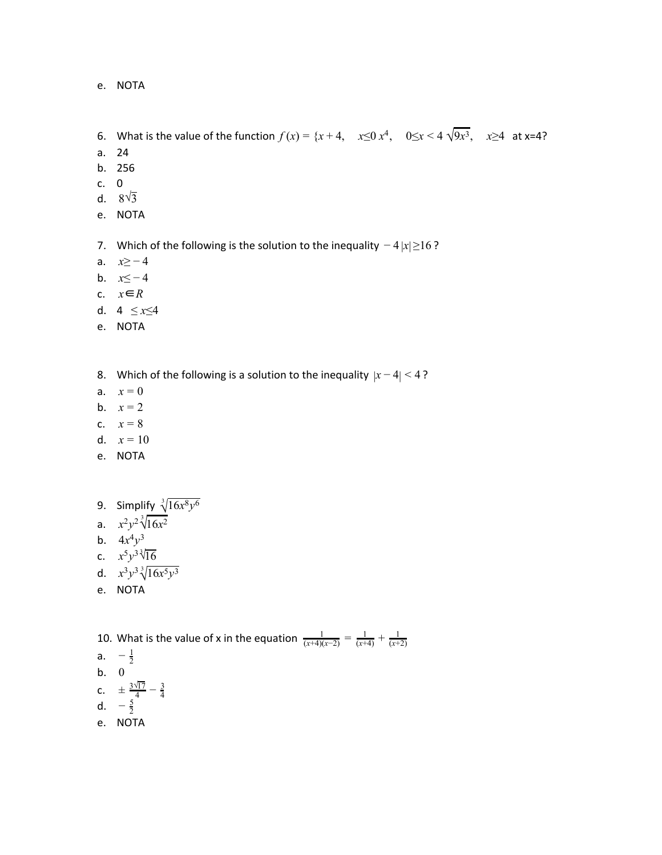e. NOTA

- 6. What is the value of the function  $f(x) = \{x + 4, x \le 0 \ x^4, 0 \le x < 4 \ \sqrt{9x^3}, x \ge 4 \text{ at } x = 4\}$
- a. 24
- b. 256
- c. 0
- d.  $8\sqrt{3}$
- e. NOTA
- 7. Which of the following is the solution to the inequality −4 |*x*| ≥16 ?
- a. *x*≥ − 4
- b. *x*≤ − 4
- c. *x*∈*R*
- d. 4 ≤ *x*≤4
- e. NOTA
- 8. Which of the following is a solution to the inequality  $|x-4|$  < 4?
- a.  $x = 0$
- b.  $x = 2$
- c.  $x = 8$
- d.  $x = 10$
- e. NOTA
- 9. Simplify  $\sqrt[3]{16x^8y^6}$
- a.  $x^2y^2\sqrt[3]{16x^2}$
- b.  $4x^4y^3$
- c.  $x^5y^3\sqrt[3]{16}$
- d.  $x^3y^3\sqrt[3]{16x^5y^3}$
- e. NOTA

10. What is the value of x in the equation  $\frac{1}{(x+4)(x-2)} = \frac{1}{(x+4)} + \frac{1}{(x+2)}$ (*x*+2) a.  $-\frac{1}{2}$ b. 0 c.  $\pm \frac{3\sqrt{17}}{4} - \frac{3}{4}$ d.  $-\frac{5}{2}$ e. NOTA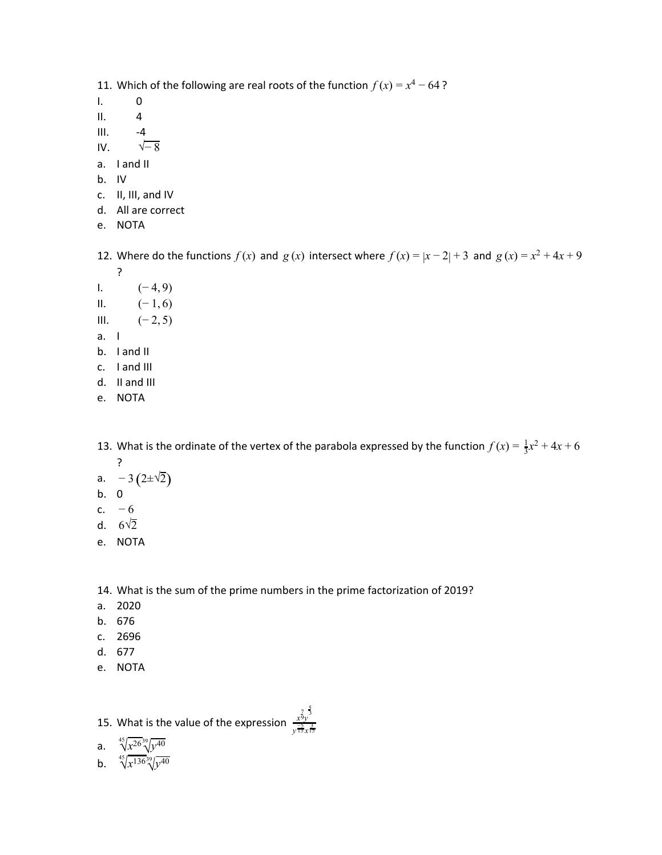11. Which of the following are real roots of the function  $f(x) = x^4 - 64$ ?

- I. 0
- $II. 4$
- $III. -4$
- IV.  $\sqrt{-8}$
- a. I and II
- b. IV
- c. II, III, and IV
- d. All are correct
- e. NOTA

12. Where do the functions  $f(x)$  and  $g(x)$  intersect where  $f(x) = |x-2| + 3$  and  $g(x) = x^2 + 4x + 9$ ?

- I.  $(-4, 9)$ II.  $(-1, 6)$ III.  $(-2, 5)$
- a. I
- b. I and II
- c. I and III
- d. II and III
- e. NOTA

13. What is the ordinate of the vertex of the parabola expressed by the function  $f(x) = \frac{1}{3}x^2 + 4x + 6$ ?

- a.  $-3(2\pm\sqrt{2})$
- b. 0
- c.  $-6$
- d.  $6\sqrt{2}$
- e. NOTA

14. What is the sum of the prime numbers in the prime factorization of 2019?

- a. 2020
- b. 676
- c. 2696
- d. 677
- e. NOTA

## 15. What is the value of the expression *x*9*y* 7 3 5 y <del>13</del> x 15

a.  $\sqrt[45]{x^{26}\sqrt[39]{y^{40}}}$ 

b. 
$$
\sqrt[45]{x^{136}\sqrt[3]{y^{40}}}
$$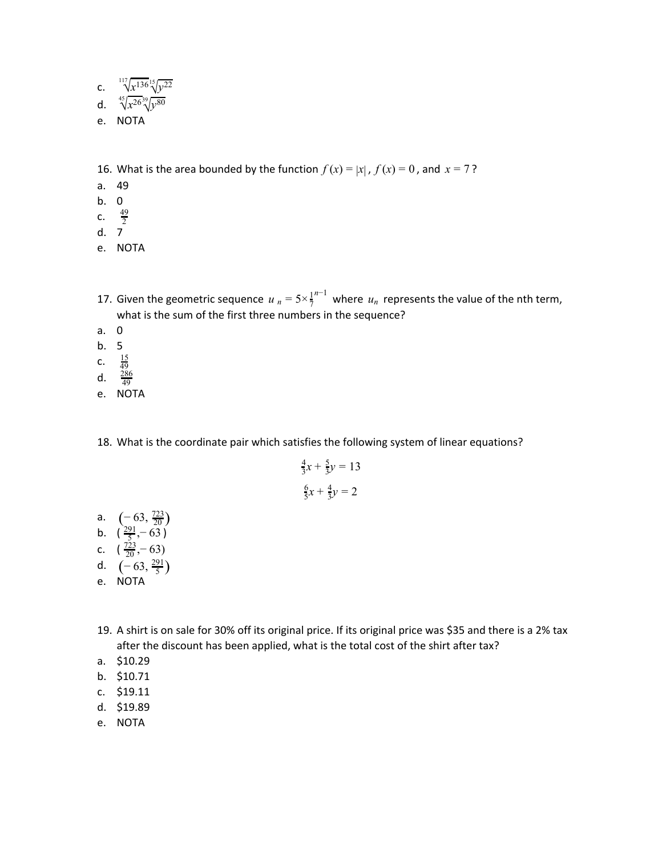c. 
$$
\sqrt[117]{x^{136}} \sqrt[15]{y^{22}}
$$

- d.  $\sqrt[45]{x^{26}\sqrt[39]{y^{80}}}$
- e. NOTA

16. What is the area bounded by the function  $f(x) = |x|$ ,  $f(x) = 0$ , and  $x = 7$ ?

- a. 49
- b. 0
- c.  $\frac{49}{2}$
- d. 7
- e. NOTA
- 17. Given the geometric sequence  $u_n = 5 \times \frac{1}{7}^{n-1}$  where  $u_n$  represents the value of the nth term, what is the sum of the first three numbers in the sequence?
- a. 0
- b. 5
- c.  $\frac{15}{49}$
- d.  $\frac{286}{49}$
- e. NOTA
- 18. What is the coordinate pair which satisfies the following system of linear equations?

$$
\frac{4}{3}x + \frac{5}{3}y = 13
$$

$$
\frac{6}{5}x + \frac{4}{3}y = 2
$$

- a.  $\left(-63, \frac{723}{20}\right)$
- b.  $\left(\frac{291}{5}, -63\right)$
- c.  $\left(\frac{723}{20}, -63\right)$
- d.  $(-63, \frac{291}{5})$
- e. NOTA
- 19. A shirt is on sale for 30% off its original price. If its original price was \$35 and there is a 2% tax after the discount has been applied, what is the total cost of the shirt after tax?
- a. \$10.29
- b. \$10.71
- c. \$19.11
- d. \$19.89
- e. NOTA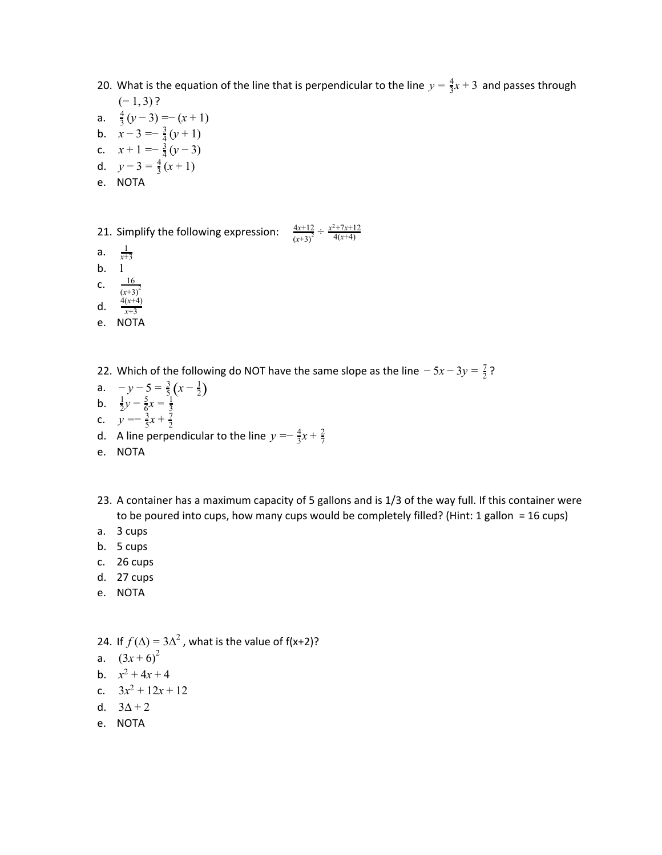- 20. What is the equation of the line that is perpendicular to the line  $y = \frac{4}{3}x + 3$  and passes through  $(-1, 3)$ ?
- a.  $\frac{4}{3}(y-3) = -(x+1)$
- b.  $x-3=-\frac{3}{4}(y+1)$
- c.  $x+1 = -\frac{3}{4}(y-3)$
- d.  $y-3=\frac{4}{3}(x+1)$
- e. NOTA
- 21. Simplify the following expression:  $\frac{4x+12}{(x+3)^2} \div \frac{x^2+7x+12}{4(x+4)}$
- a.  $\frac{1}{r^+}$
- *x*+3 b. 1
- c.  $\frac{16}{(12)}$
- $(x+3)^2$ 4(*x*+4)
- d.  $\frac{4(x+4)}{x+3}$
- e. NOTA
- 22. Which of the following do NOT have the same slope as the line  $-5x-3y=\frac{7}{2}$ ?
- a.  $-y-5=\frac{3}{5}(x-\frac{1}{2})$ **b.**  $\frac{1}{2}y - \frac{5}{6}x = \frac{1}{3}$
- c.  $y = -\frac{3}{5}x + \frac{7}{2}$
- d. A line perpendicular to the line  $y = -\frac{4}{3}x + \frac{2}{7}$
- e. NOTA
- 23. A container has a maximum capacity of 5 gallons and is 1/3 of the way full. If this container were to be poured into cups, how many cups would be completely filled? (Hint: 1 gallon = 16 cups)
- a. 3 cups
- b. 5 cups
- c. 26 cups
- d. 27 cups
- e. NOTA
- 24. If  $f(\Delta) = 3\Delta^2$ , what is the value of f(x+2)?
- a.  $(3x+6)^2$
- b.  $x^2 + 4x + 4$
- c.  $3x^2 + 12x + 12$
- d.  $3\Delta + 2$
- e. NOTA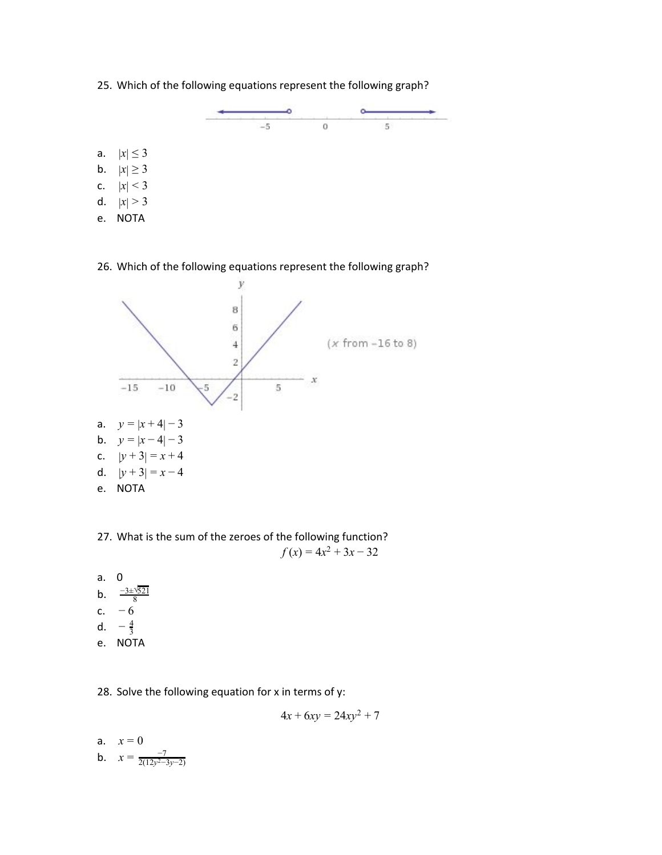25. Which of the following equations represent the following graph?



- a.  $|x| \le 3$ **b.**  $|x| \ge 3$
- c.  $|x| < 3$
- d.  $|x| > 3$
- e. NOTA

## 26. Which of the following equations represent the following graph?



27. What is the sum of the zeroes of the following function?  $f(x) = 4x^2 + 3x - 32$ 

a. 0  $b.$ −3±√521 c.  $-6$ d.  $-\frac{4}{3}$ e. NOTA

28. Solve the following equation for x in terms of y:

$$
4x + 6xy = 24xy^2 + 7
$$

a. 
$$
x = 0
$$
  
b.  $x = \frac{-7}{2(12y^2-3y-2)}$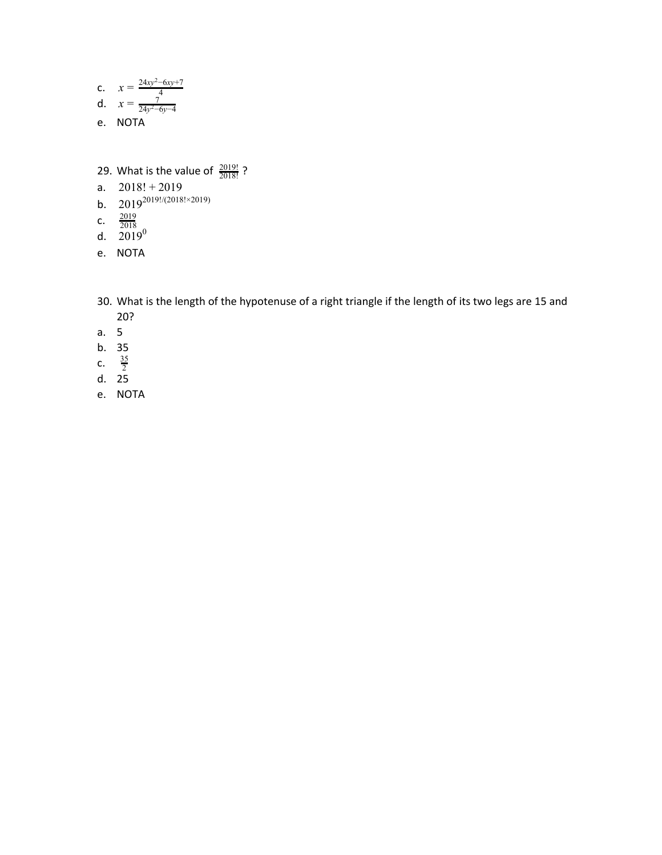c. 
$$
x = \frac{24xy^2 - 6xy + 7}{4}
$$
  
d.  $x = \frac{7}{24y^2 - 6y - 4}$ 

- e. NOTA
- 29. What is the value of  $\frac{2019!}{2018!}$ ?
- a.  $2018! + 2019$
- b.  $2019^{2019!/(2018! \times 2019)}$
- c.  $\frac{2019}{2018}$
- d.  $2019^0$
- e. NOTA
- 30. What is the length of the hypotenuse of a right triangle if the length of its two legs are 15 and 20?
- a. 5
- b. 35
- c.  $\frac{35}{2}$
- d. 25
- e. NOTA